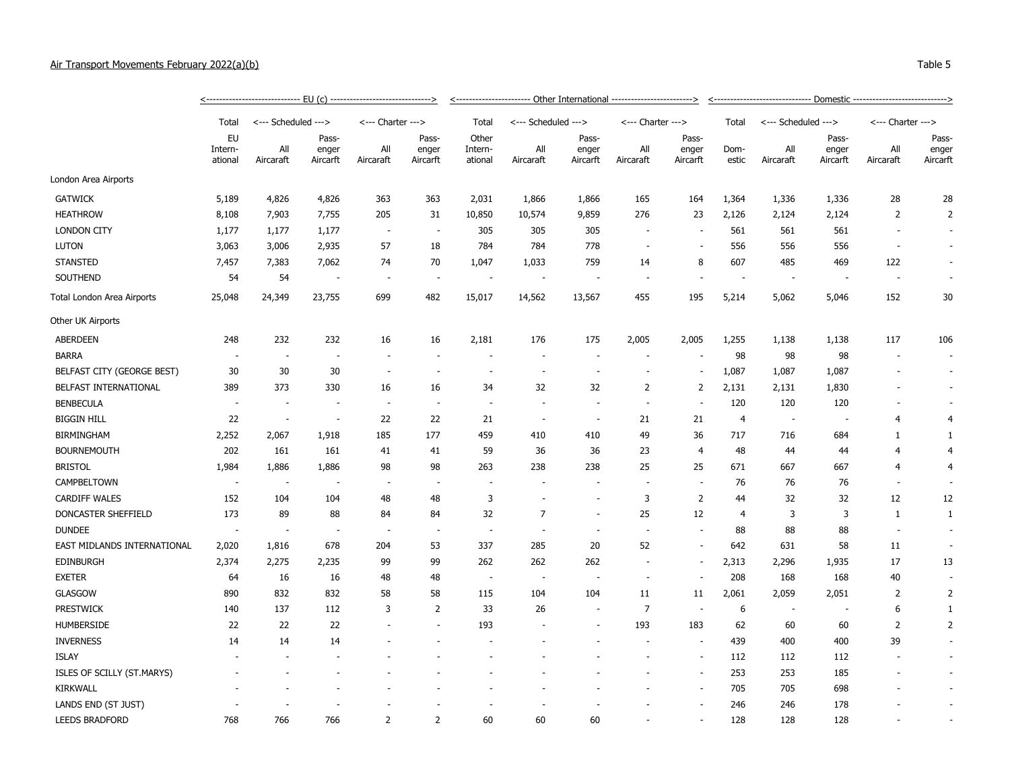## Air Transport Movements February 2022(a)(b) Table 5

|                             |                          | -----------------------------    EU (c)    ------------------------------> |                          |                          |                          | <----------------------- Other International ------------------------> |                          |                          |                          |                          |                  |                          |               |                   |                          |                  |                   |
|-----------------------------|--------------------------|----------------------------------------------------------------------------|--------------------------|--------------------------|--------------------------|------------------------------------------------------------------------|--------------------------|--------------------------|--------------------------|--------------------------|------------------|--------------------------|---------------|-------------------|--------------------------|------------------|-------------------|
|                             | Total                    | <--- Scheduled --->                                                        |                          | <--- Charter --->        |                          | Total                                                                  | <--- Scheduled --->      |                          | <--- Charter --->        |                          | Total            | <--- Scheduled --->      |               | <--- Charter ---> |                          |                  |                   |
|                             | EU<br>Intern-<br>ational |                                                                            | Pass-                    |                          | Pass-                    | Other                                                                  | Pass-                    |                          |                          | Pass-                    |                  |                          | Pass-         |                   | Pass-                    |                  |                   |
|                             |                          |                                                                            |                          | All<br>Aircaraft         | enger<br>Aircarft        | All<br>Aircaraft                                                       | enger<br>Aircarft        | Intern-<br>ational       | All<br>Aircaraft         | enger<br>Aircarft        | All<br>Aircaraft | enger<br>Aircarft        | Dom-<br>estic | All<br>Aircaraft  | enger<br>Aircarft        | All<br>Aircaraft | enger<br>Aircarft |
| London Area Airports        |                          |                                                                            |                          |                          |                          |                                                                        |                          |                          |                          |                          |                  |                          |               |                   |                          |                  |                   |
| <b>GATWICK</b>              | 5,189                    | 4,826                                                                      | 4,826                    | 363                      | 363                      | 2,031                                                                  | 1,866                    | 1,866                    | 165                      | 164                      | 1,364            | 1,336                    | 1,336         | 28                | 28                       |                  |                   |
| <b>HEATHROW</b>             | 8,108                    | 7,903                                                                      | 7,755                    | 205                      | 31                       | 10,850                                                                 | 10,574                   | 9,859                    | 276                      | 23                       | 2,126            | 2,124                    | 2,124         | $\overline{2}$    | $\overline{2}$           |                  |                   |
| <b>LONDON CITY</b>          | 1,177                    | 1,177                                                                      | 1,177                    | $\overline{\phantom{a}}$ | $\overline{\phantom{a}}$ | 305                                                                    | 305                      | 305                      |                          |                          | 561              | 561                      | 561           |                   | $\sim$                   |                  |                   |
| <b>LUTON</b>                | 3,063                    | 3,006                                                                      | 2,935                    | 57                       | 18                       | 784                                                                    | 784                      | 778                      |                          |                          | 556              | 556                      | 556           |                   |                          |                  |                   |
| <b>STANSTED</b>             | 7,457                    | 7,383                                                                      | 7,062                    | 74                       | 70                       | 1,047                                                                  | 1,033                    | 759                      | 14                       | 8                        | 607              | 485                      | 469           | 122               | $\sim$                   |                  |                   |
| SOUTHEND                    | 54                       | 54                                                                         | $\overline{\phantom{a}}$ | $\overline{\phantom{a}}$ | $\overline{a}$           |                                                                        | $\overline{a}$           | $\overline{\phantom{a}}$ |                          |                          |                  |                          |               |                   |                          |                  |                   |
| Total London Area Airports  | 25,048                   | 24,349                                                                     | 23,755                   | 699                      | 482                      | 15,017                                                                 | 14,562                   | 13,567                   | 455                      | 195                      | 5,214            | 5,062                    | 5,046         | 152               | 30                       |                  |                   |
| Other UK Airports           |                          |                                                                            |                          |                          |                          |                                                                        |                          |                          |                          |                          |                  |                          |               |                   |                          |                  |                   |
| <b>ABERDEEN</b>             | 248                      | 232                                                                        | 232                      | 16                       | 16                       | 2,181                                                                  | 176                      | 175                      | 2,005                    | 2,005                    | 1,255            | 1,138                    | 1,138         | 117               | 106                      |                  |                   |
| <b>BARRA</b>                |                          | $\sim$                                                                     | $\overline{\phantom{a}}$ |                          |                          |                                                                        |                          |                          |                          |                          | 98               | 98                       | 98            |                   |                          |                  |                   |
| BELFAST CITY (GEORGE BEST)  | 30                       | 30                                                                         | 30                       | $\sim$                   | $\overline{\phantom{a}}$ |                                                                        | $\overline{\phantom{a}}$ |                          |                          | $\overline{\phantom{a}}$ | 1,087            | 1,087                    | 1,087         |                   |                          |                  |                   |
| BELFAST INTERNATIONAL       | 389                      | 373                                                                        | 330                      | 16                       | 16                       | 34                                                                     | 32                       | 32                       | $\overline{2}$           | $\overline{2}$           | 2,131            | 2,131                    | 1,830         |                   |                          |                  |                   |
| <b>BENBECULA</b>            | $\sim$                   | $\overline{\phantom{a}}$                                                   |                          | $\overline{\phantom{a}}$ | $\overline{\phantom{a}}$ |                                                                        |                          |                          |                          |                          | 120              | 120                      | 120           |                   |                          |                  |                   |
| <b>BIGGIN HILL</b>          | 22                       | $\sim$                                                                     | $\overline{\phantom{a}}$ | 22                       | 22                       | 21                                                                     | $\overline{a}$           | $\overline{\phantom{a}}$ | 21                       | 21                       | $\overline{4}$   | $\overline{\phantom{a}}$ | ÷.            | 4                 | $\overline{4}$           |                  |                   |
| <b>BIRMINGHAM</b>           | 2,252                    | 2,067                                                                      | 1,918                    | 185                      | 177                      | 459                                                                    | 410                      | 410                      | 49                       | 36                       | 717              | 716                      | 684           | 1                 | $\mathbf{1}$             |                  |                   |
| <b>BOURNEMOUTH</b>          | 202                      | 161                                                                        | 161                      | 41                       | 41                       | 59                                                                     | 36                       | 36                       | 23                       | $\overline{4}$           | 48               | 44                       | 44            | 4                 | 4                        |                  |                   |
| <b>BRISTOL</b>              | 1,984                    | 1,886                                                                      | 1,886                    | 98                       | 98                       | 263                                                                    | 238                      | 238                      | 25                       | 25                       | 671              | 667                      | 667           | 4                 | 4                        |                  |                   |
| CAMPBELTOWN                 | $\overline{\phantom{a}}$ | $\overline{a}$                                                             |                          |                          | ÷                        |                                                                        |                          |                          |                          | ÷,                       | 76               | 76                       | 76            | $\overline{a}$    |                          |                  |                   |
| <b>CARDIFF WALES</b>        | 152                      | 104                                                                        | 104                      | 48                       | 48                       | 3                                                                      | ÷.                       | ÷,                       | 3                        | $\overline{2}$           | 44               | 32                       | 32            | 12                | 12                       |                  |                   |
| DONCASTER SHEFFIELD         | 173                      | 89                                                                         | 88                       | 84                       | 84                       | 32                                                                     | $\overline{7}$           | ÷,                       | 25                       | 12                       | $\overline{4}$   | 3                        | 3             | $\mathbf{1}$      | $\mathbf{1}$             |                  |                   |
| <b>DUNDEE</b>               | $\overline{\phantom{a}}$ | ٠.                                                                         |                          | ÷.                       | ٠                        |                                                                        |                          |                          |                          |                          | 88               | 88                       | 88            |                   | $\sim$                   |                  |                   |
| EAST MIDLANDS INTERNATIONAL | 2,020                    | 1,816                                                                      | 678                      | 204                      | 53                       | 337                                                                    | 285                      | 20                       | 52                       | $\overline{\phantom{a}}$ | 642              | 631                      | 58            | 11                | $\sim$                   |                  |                   |
| <b>EDINBURGH</b>            | 2,374                    | 2,275                                                                      | 2,235                    | 99                       | 99                       | 262                                                                    | 262                      | 262                      | $\overline{\phantom{a}}$ | $\overline{\phantom{a}}$ | 2,313            | 2,296                    | 1,935         | 17                | 13                       |                  |                   |
| <b>EXETER</b>               | 64                       | 16                                                                         | 16                       | 48                       | 48                       |                                                                        | $\overline{\phantom{a}}$ |                          |                          |                          | 208              | 168                      | 168           | 40                | $\overline{\phantom{a}}$ |                  |                   |
| <b>GLASGOW</b>              | 890                      | 832                                                                        | 832                      | 58                       | 58                       | 115                                                                    | 104                      | 104                      | 11                       | 11                       | 2,061            | 2,059                    | 2,051         | 2                 | $\overline{2}$           |                  |                   |
| <b>PRESTWICK</b>            | 140                      | 137                                                                        | 112                      | 3                        | $\overline{2}$           | 33                                                                     | 26                       |                          | $\overline{7}$           | ٠                        | 6                |                          |               | 6                 | 1                        |                  |                   |
| <b>HUMBERSIDE</b>           | 22                       | 22                                                                         | 22                       |                          |                          | 193                                                                    |                          |                          | 193                      | 183                      | 62               | 60                       | 60            | $\mathbf 2$       | $\overline{2}$           |                  |                   |
| <b>INVERNESS</b>            | 14                       | 14                                                                         | 14                       |                          |                          |                                                                        |                          |                          |                          | $\overline{\phantom{a}}$ | 439              | 400                      | 400           | 39                | $\sim$                   |                  |                   |
| <b>ISLAY</b>                |                          |                                                                            |                          |                          |                          |                                                                        |                          |                          |                          | ÷,                       | 112              | 112                      | 112           |                   | $\sim$                   |                  |                   |
| ISLES OF SCILLY (ST.MARYS)  |                          |                                                                            |                          |                          |                          |                                                                        |                          |                          |                          |                          | 253              | 253                      | 185           |                   |                          |                  |                   |
| KIRKWALL                    |                          |                                                                            |                          |                          |                          |                                                                        |                          |                          |                          |                          | 705              | 705                      | 698           |                   | $\sim$                   |                  |                   |
| LANDS END (ST JUST)         |                          |                                                                            |                          |                          |                          |                                                                        |                          |                          |                          |                          | 246              | 246                      | 178           |                   |                          |                  |                   |
| <b>LEEDS BRADFORD</b>       | 768                      | 766                                                                        | 766                      | 2                        | 2                        | 60                                                                     | 60                       | 60                       |                          |                          | 128              | 128                      | 128           |                   |                          |                  |                   |